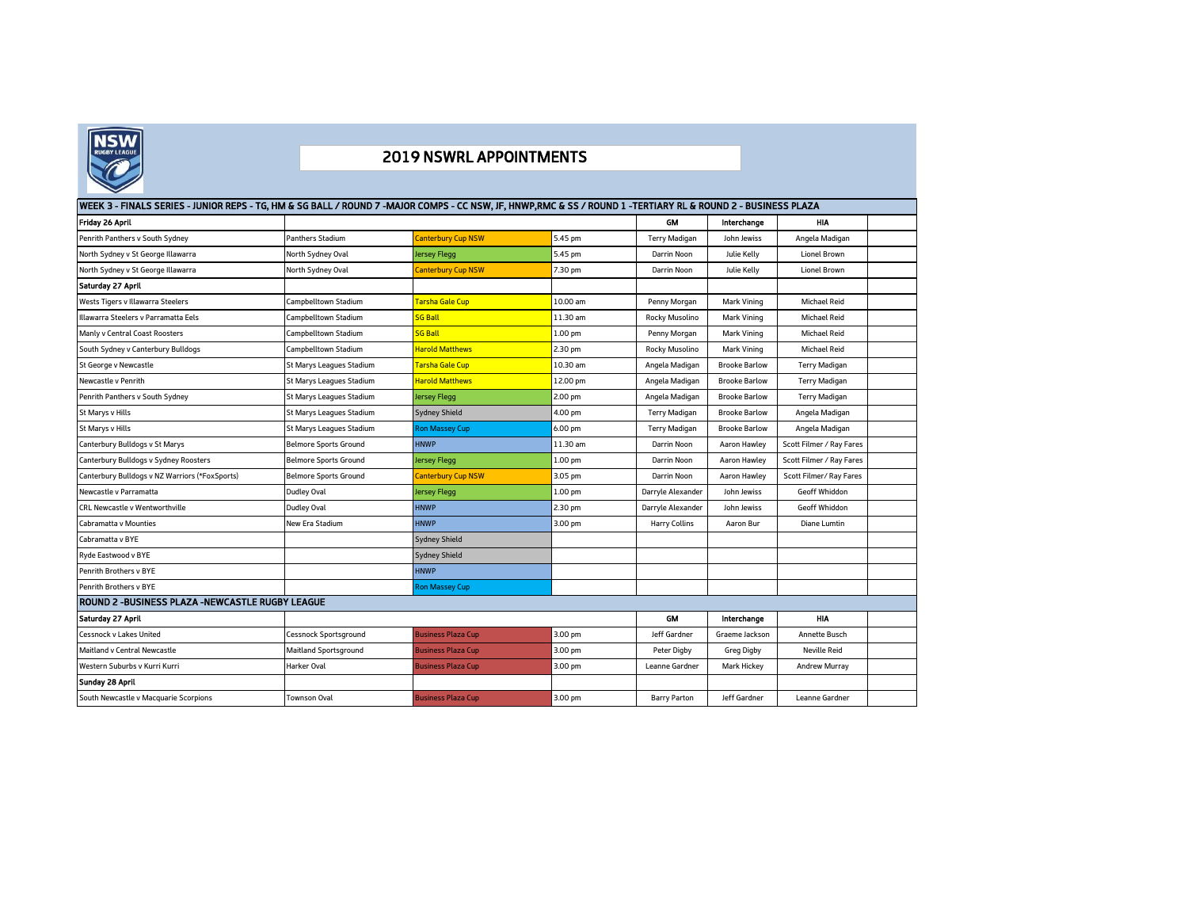

## 2019 NSWRL APPOINTMENTS

| Friday 26 April                                        |                              |                           |                    | <b>GM</b>            | Interchange          | <b>HIA</b>               |  |
|--------------------------------------------------------|------------------------------|---------------------------|--------------------|----------------------|----------------------|--------------------------|--|
| Penrith Panthers v South Sydney                        | Panthers Stadium             | Canterbury Cup NSW        | 5.45 pm            | <b>Terry Madigan</b> | John Jewiss          | Angela Madigan           |  |
| North Sydney v St George Illawarra                     | North Sydney Oval            | lersey Flegg              | 5.45 pm            | Darrin Noon          | Julie Kelly          | <b>Lionel Brown</b>      |  |
| North Sydney v St George Illawarra                     | North Sydney Oval            | <b>Canterbury Cup NSW</b> | 7.30 pm            | Darrin Noon          | Julie Kelly          | Lionel Brown             |  |
| Saturday 27 April                                      |                              |                           |                    |                      |                      |                          |  |
| Wests Tigers v Illawarra Steelers                      | Campbelltown Stadium         | Tarsha Gale Cup           | 10.00 am           | Penny Morgan         | Mark Vining          | <b>Michael Reid</b>      |  |
| Illawarra Steelers v Parramatta Eels                   | Campbelltown Stadium         | <b>SG Ball</b>            | 11.30 am           | Rocky Musolino       | Mark Vining          | <b>Michael Reid</b>      |  |
| Manly v Central Coast Roosters                         | Campbelltown Stadium         | <b>SG Ball</b>            | 1.00 pm            | Penny Morgan         | Mark Vining          | <b>Michael Reid</b>      |  |
| South Sydney v Canterbury Bulldogs                     | Campbelltown Stadium         | <b>Harold Matthews</b>    | 2.30 pm            | Rocky Musolino       | Mark Vining          | <b>Michael Reid</b>      |  |
| St George v Newcastle                                  | St Marys Leagues Stadium     | Tarsha Gale Cup           | 10.30 am           | Angela Madigan       | <b>Brooke Barlow</b> | <b>Terry Madigan</b>     |  |
| Newcastle v Penrith                                    | St Marys Leagues Stadium     | <b>Harold Matthews</b>    | 12.00 pm           | Angela Madigan       | <b>Brooke Barlow</b> | <b>Terry Madigan</b>     |  |
| Penrith Panthers v South Sydney                        | St Marys Leagues Stadium     | lersey Flegg              | 2.00 pm            | Angela Madigan       | <b>Brooke Barlow</b> | <b>Terry Madigan</b>     |  |
| St Marys v Hills                                       | St Marys Leagues Stadium     | Sydney Shield             | 4.00 pm            | Terry Madigan        | <b>Brooke Barlow</b> | Angela Madigan           |  |
| St Marys v Hills                                       | St Marys Leagues Stadium     | <b>Ron Massey Cup</b>     | 6.00 pm            | <b>Terry Madigan</b> | <b>Brooke Barlow</b> | Angela Madigan           |  |
| Canterbury Bulldogs v St Marys                         | <b>Belmore Sports Ground</b> | <b>HNWP</b>               | 11.30 am           | Darrin Noon          | Aaron Hawley         | Scott Filmer / Ray Fares |  |
| Canterbury Bulldogs v Sydney Roosters                  | Belmore Sports Ground        | lersey Flegg              | 1.00 <sub>pm</sub> | Darrin Noon          | Aaron Hawley         | Scott Filmer / Ray Fares |  |
| Canterbury Bulldogs v NZ Warriors (*FoxSports)         | <b>Belmore Sports Ground</b> | Canterbury Cup NSW        | 3.05 pm            | Darrin Noon          | <b>Aaron Hawley</b>  | Scott Filmer/ Rav Fares  |  |
| Newcastle v Parramatta                                 | Dudley Oval                  | lersey Flegg              | 1.00 pm            | Darryle Alexander    | John Jewiss          | <b>Geoff Whiddon</b>     |  |
| <b>CRL Newcastle v Wentworthville</b>                  | Dudley Oval                  | <b>HNWP</b>               | 2.30 pm            | Darryle Alexander    | John Jewiss          | <b>Geoff Whiddon</b>     |  |
| <b>Cabramatta v Mounties</b>                           | New Era Stadium              | <b>HNWP</b>               | 3.00 pm            | Harry Collins        | Aaron Bur            | Diane Lumtin             |  |
| Cabramatta v BYE                                       |                              | Sydney Shield             |                    |                      |                      |                          |  |
| Ryde Eastwood v BYE                                    |                              | Sydney Shield             |                    |                      |                      |                          |  |
| Penrith Brothers v BYE                                 |                              | <b>HNWP</b>               |                    |                      |                      |                          |  |
| Penrith Brothers v BYE                                 |                              | <b>Ron Massey Cup</b>     |                    |                      |                      |                          |  |
| <b>ROUND 2 -BUSINESS PLAZA -NEWCASTLE RUGBY LEAGUE</b> |                              |                           |                    |                      |                      |                          |  |
| Saturday 27 April                                      |                              |                           |                    | GM                   | Interchange          | <b>HIA</b>               |  |
| <b>Cessnock v Lakes United</b>                         | Cessnock Sportsground        | <b>Business Plaza Cup</b> | 3.00 pm            | Jeff Gardner         | Graeme Jackson       | <b>Annette Busch</b>     |  |
| Maitland v Central Newcastle                           | Maitland Sportsground        | <b>Business Plaza Cup</b> | 3.00 pm            | Peter Digby          | Greg Digby           | <b>Neville Reid</b>      |  |
| Western Suburbs v Kurri Kurri                          | Harker Oval                  | Business Plaza Cup        | 3.00 pm            | Leanne Gardner       | Mark Hickey          | Andrew Murray            |  |
| Sunday 28 April                                        |                              |                           |                    |                      |                      |                          |  |
| South Newcastle v Macquarie Scorpions                  | Townson Oval                 | <b>Business Plaza Cup</b> | 3.00 pm            | <b>Barry Parton</b>  | Jeff Gardner         | Leanne Gardner           |  |
|                                                        |                              |                           |                    |                      |                      |                          |  |